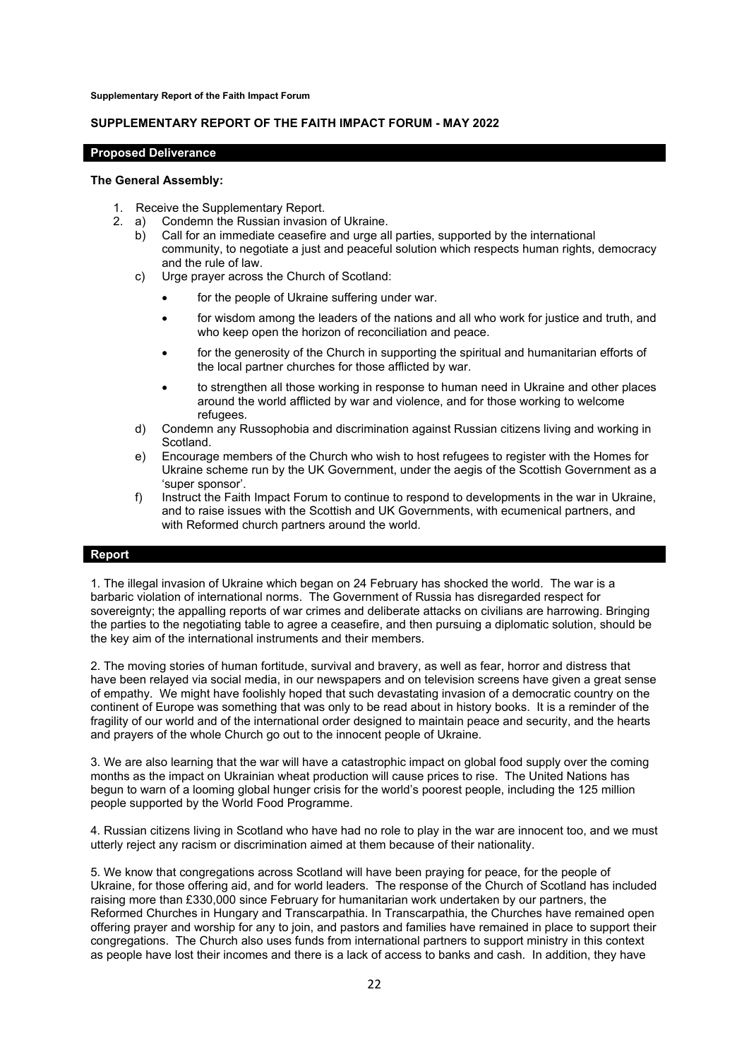**Supplementary Report of the Faith Impact Forum**

## **SUPPLEMENTARY REPORT OF THE FAITH IMPACT FORUM - MAY 2022**

## **Proposed Deliverance**

## **The General Assembly:**

- 1. Receive the Supplementary Report.
- 2. a) Condemn the Russian invasion of Ukraine.
	- b) Call for an immediate ceasefire and urge all parties, supported by the international community, to negotiate a just and peaceful solution which respects human rights, democracy and the rule of law.
	- c) Urge prayer across the Church of Scotland:
		- for the people of Ukraine suffering under war.
		- for wisdom among the leaders of the nations and all who work for justice and truth, and who keep open the horizon of reconciliation and peace.
		- for the generosity of the Church in supporting the spiritual and humanitarian efforts of the local partner churches for those afflicted by war.
		- to strengthen all those working in response to human need in Ukraine and other places around the world afflicted by war and violence, and for those working to welcome refugees.
	- d) Condemn any Russophobia and discrimination against Russian citizens living and working in Scotland.
	- e) Encourage members of the Church who wish to host refugees to register with the Homes for Ukraine scheme run by the UK Government, under the aegis of the Scottish Government as a 'super sponsor'.
	- f) Instruct the Faith Impact Forum to continue to respond to developments in the war in Ukraine, and to raise issues with the Scottish and UK Governments, with ecumenical partners, and with Reformed church partners around the world.

## **Report**

1. The illegal invasion of Ukraine which began on 24 February has shocked the world. The war is a barbaric violation of international norms. The Government of Russia has disregarded respect for sovereignty; the appalling reports of war crimes and deliberate attacks on civilians are harrowing. Bringing the parties to the negotiating table to agree a ceasefire, and then pursuing a diplomatic solution, should be the key aim of the international instruments and their members.

2. The moving stories of human fortitude, survival and bravery, as well as fear, horror and distress that have been relayed via social media, in our newspapers and on television screens have given a great sense of empathy. We might have foolishly hoped that such devastating invasion of a democratic country on the continent of Europe was something that was only to be read about in history books. It is a reminder of the fragility of our world and of the international order designed to maintain peace and security, and the hearts and prayers of the whole Church go out to the innocent people of Ukraine.

3. We are also learning that the war will have a catastrophic impact on global food supply over the coming months as the impact on Ukrainian wheat production will cause prices to rise. The United Nations has begun to warn of a looming global hunger crisis for the world's poorest people, including the 125 million people supported by the World Food Programme.

4. Russian citizens living in Scotland who have had no role to play in the war are innocent too, and we must utterly reject any racism or discrimination aimed at them because of their nationality.

5. We know that congregations across Scotland will have been praying for peace, for the people of Ukraine, for those offering aid, and for world leaders. The response of the Church of Scotland has included raising more than £330,000 since February for humanitarian work undertaken by our partners, the Reformed Churches in Hungary and Transcarpathia. In Transcarpathia, the Churches have remained open offering prayer and worship for any to join, and pastors and families have remained in place to support their congregations. The Church also uses funds from international partners to support ministry in this context as people have lost their incomes and there is a lack of access to banks and cash. In addition, they have